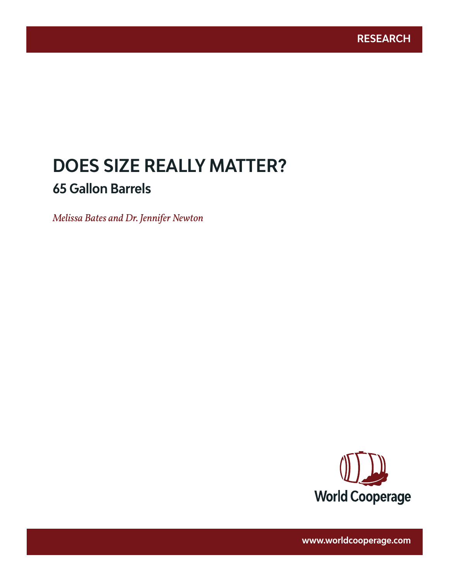# **DOES SIZE REALLY MATTER? 65 Gallon Barrels**

www.worldcooperage.com *Does Size Really Matter? 65 Gallon Barrels* **1** 

*Melissa Bates and Dr. Jennifer Newton*



**www.worldcooperage.com**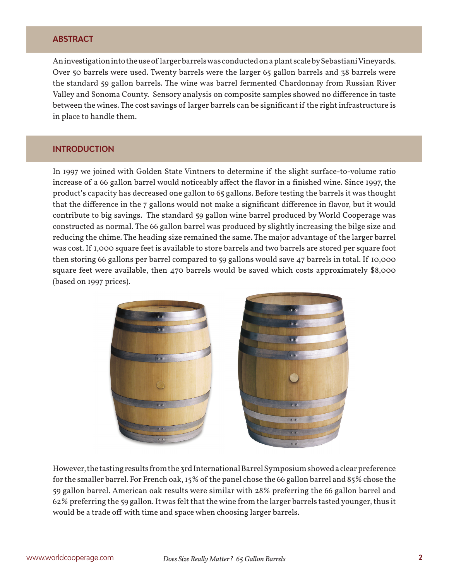# **ABSTRACT**

An investigation into the use of larger barrels was conducted on a plant scale by Sebastiani Vineyards. Over 50 barrels were used. Twenty barrels were the larger 65 gallon barrels and 38 barrels were the standard 59 gallon barrels. The wine was barrel fermented Chardonnay from Russian River Valley and Sonoma County. Sensory analysis on composite samples showed no difference in taste between the wines. The cost savings of larger barrels can be significant if the right infrastructure is in place to handle them.

# **INTRODUCTION**

In 1997 we joined with Golden State Vintners to determine if the slight surface-to-volume ratio increase of a 66 gallon barrel would noticeably affect the flavor in a finished wine. Since 1997, the product's capacity has decreased one gallon to 65 gallons. Before testing the barrels it was thought that the difference in the 7 gallons would not make a significant difference in flavor, but it would contribute to big savings. The standard 59 gallon wine barrel produced by World Cooperage was constructed as normal. The 66 gallon barrel was produced by slightly increasing the bilge size and reducing the chime. The heading size remained the same. The major advantage of the larger barrel was cost. If 1,000 square feet is available to store barrels and two barrels are stored per square foot then storing 66 gallons per barrel compared to 59 gallons would save 47 barrels in total. If 10,000 square feet were available, then 470 barrels would be saved which costs approximately \$8,000 (based on 1997 prices).



However, the tasting results from the 3rd International Barrel Symposium showed a clear preference for the smaller barrel. For French oak, 15% of the panel chose the 66 gallon barrel and 85% chose the 59 gallon barrel. American oak results were similar with 28% preferring the 66 gallon barrel and 62% preferring the 59 gallon. It was felt that the wine from the larger barrels tasted younger, thus it would be a trade off with time and space when choosing larger barrels.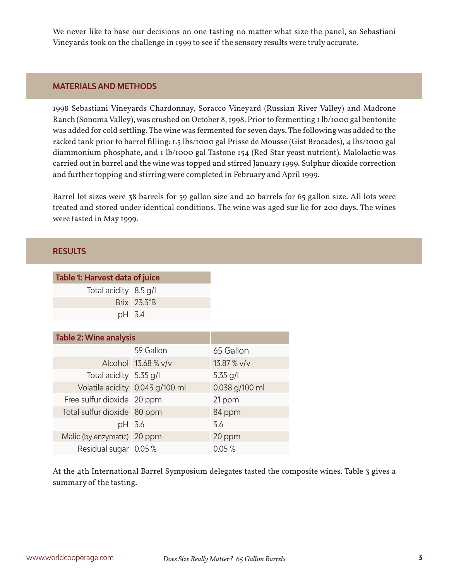We never like to base our decisions on one tasting no matter what size the panel, so Sebastiani Vineyards took on the challenge in 1999 to see if the sensory results were truly accurate.

### **MATERIALS AND METHODS**

1998 Sebastiani Vineyards Chardonnay, Soracco Vineyard (Russian River Valley) and Madrone Ranch (Sonoma Valley), was crushed on October 8, 1998. Prior to fermenting 1 lb/1000 gal bentonite was added for cold settling. The wine was fermented for seven days. The following was added to the racked tank prior to barrel filling: 1.5 lbs/1000 gal Prisse de Mousse (Gist Brocades), 4 lbs/1000 gal diammonium phosphate, and 1 lb/1000 gal Tastone 154 (Red Star yeast nutrient). Malolactic was carried out in barrel and the wine was topped and stirred January 1999. Sulphur dioxide correction and further topping and stirring were completed in February and April 1999.

Barrel lot sizes were 38 barrels for 59 gallon size and 20 barrels for 65 gallon size. All lots were treated and stored under identical conditions. The wine was aged sur lie for 200 days. The wines were tasted in May 1999.

#### **RESULTS**

| <b>Table 1: Harvest data of juice</b> |                     |                |
|---------------------------------------|---------------------|----------------|
| Total acidity 8.5 g/l                 |                     |                |
|                                       | Brix 23.3°B         |                |
| pH 3.4                                |                     |                |
|                                       |                     |                |
| <b>Table 2: Wine analysis</b>         |                     |                |
|                                       | 59 Gallon           | 65 Gallon      |
|                                       | Alcohol 13.68 % v/v | $13.87 %$ V/v  |
| Total acidity 5.35 g/l                |                     | 5.35 g/l       |
| Volatile acidity 0.043 g/100 ml       |                     | 0.038 g/100 ml |
| Free sulfur dioxide 20 ppm            |                     | 21 ppm         |
| Total sulfur dioxide 80 ppm           |                     | 84 ppm         |
| pH 3.6                                |                     | 3.6            |
| Malic (by enzymatic) 20 ppm           |                     | 20 ppm         |

Residual sugar 0.05 % 0.05 %

At the 4th International Barrel Symposium delegates tasted the composite wines. Table 3 gives a summary of the tasting.